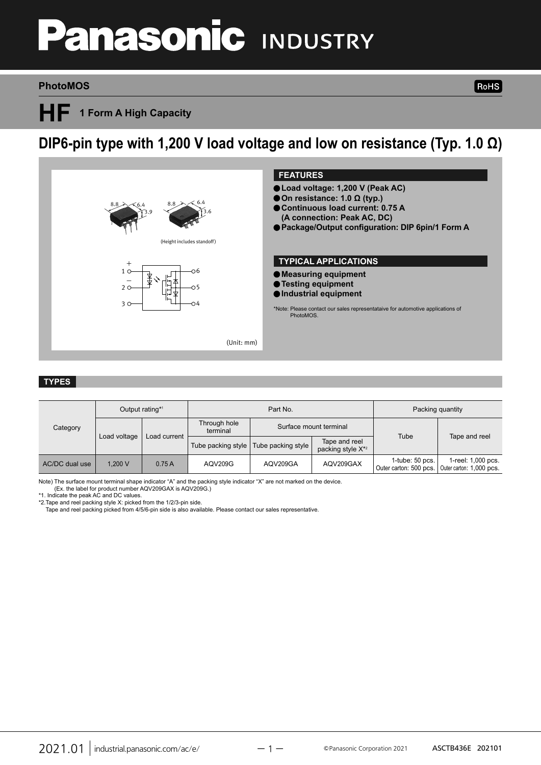# **anasonic INDUSTRY**

#### **PhotoMOS**

**HF 1 Form A High Capacity**

## **DIP6-pin type with 1,200 V load voltage and low on resistance (Typ. 1.0 Ω)**



#### **TYPES**

| Category       | Output rating*1              |                    | Part No.                 |                                                |           | Packing quantity                               |                                                |
|----------------|------------------------------|--------------------|--------------------------|------------------------------------------------|-----------|------------------------------------------------|------------------------------------------------|
|                | Load current<br>Load voltage |                    | Through hole<br>terminal | Surface mount terminal                         |           | Tube                                           | Tape and reel                                  |
|                |                              | Tube packing style | Tube packing style       | Tape and reel<br>packing style X <sup>*2</sup> |           |                                                |                                                |
| AC/DC dual use | 1.200 V                      | 0.75A              | AQV209G                  | AQV209GA                                       | AQV209GAX | $1$ -tube: $50$ pcs.<br>Outer carton: 500 pcs. | 1-reel: 1,000 pcs.<br>Outer carton: 1,000 pcs. |

Note) The surface mount terminal shape indicator "A" and the packing style indicator "X" are not marked on the device. (Ex. the label for product number AQV209GAX is AQV209G.)

\*1. Indicate the peak AC and DC values.

\*2.Tape and reel packing style X: picked from the 1/2/3-pin side.

Tape and reel packing picked from 4/5/6-pin side is also available. Please contact our sales representative.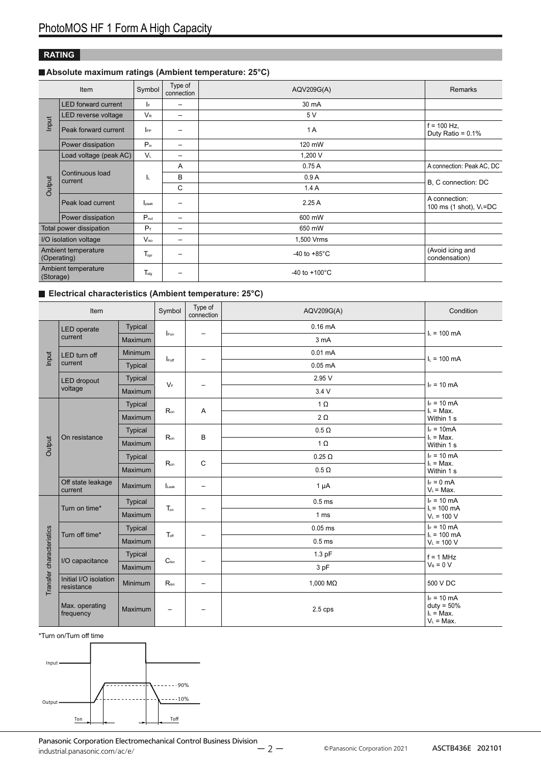#### **RATING**

#### **Absolute maximum ratings (Ambient temperature: 25°C)**

| Item                               |                            | Symbol           | Type of<br>connection    | AQV209G(A)                | <b>Remarks</b>                          |                           |                     |  |
|------------------------------------|----------------------------|------------------|--------------------------|---------------------------|-----------------------------------------|---------------------------|---------------------|--|
|                                    | <b>LED</b> forward current | IF.              | $\overline{\phantom{0}}$ | 30 mA                     |                                         |                           |                     |  |
| Input                              | LED reverse voltage        | $V_{R}$          | $\qquad \qquad$          | 5 V                       |                                         |                           |                     |  |
|                                    | Peak forward current       | <b>IFP</b>       |                          | 1A                        | $f = 100$ Hz,<br>Duty Ratio = $0.1\%$   |                           |                     |  |
|                                    | Power dissipation          | $P_{in}$         | $\overline{\phantom{m}}$ | 120 mW                    |                                         |                           |                     |  |
|                                    | Load voltage (peak AC)     | $V_{\perp}$      | $\overline{\phantom{m}}$ | 1,200 V                   |                                         |                           |                     |  |
|                                    | Continuous load<br>current |                  |                          | A                         | 0.75A                                   | A connection: Peak AC, DC |                     |  |
|                                    |                            | ΙL               |                          |                           | B                                       | 0.9A                      | B, C connection: DC |  |
| Output                             |                            |                  | C                        | 1.4A                      |                                         |                           |                     |  |
|                                    | Peak load current          | lpeak            | $\overline{\phantom{m}}$ | 2.25A                     | A connection:<br>100 ms (1 shot), VL=DC |                           |                     |  |
|                                    | Power dissipation          | P <sub>out</sub> | $\qquad \qquad$          | 600 mW                    |                                         |                           |                     |  |
|                                    | Total power dissipation    | $P_T$            | $\qquad \qquad$          | 650 mW                    |                                         |                           |                     |  |
| I/O isolation voltage              |                            | $V_{\rm iso}$    | $\qquad \qquad$          | 1,500 Vrms                |                                         |                           |                     |  |
| Ambient temperature<br>(Operating) |                            | Topr             |                          | -40 to $+85^{\circ}$ C    | (Avoid icing and<br>condensation)       |                           |                     |  |
| (Storage)                          | Ambient temperature        | $T_{sta}$        |                          | $-40$ to $+100^{\circ}$ C |                                         |                           |                     |  |

#### **Electrical characteristics (Ambient temperature: 25°C)**

| Item                     |                                     |                | Symbol            | Type of<br>connection    | AQV209G(A)        | Condition                                                    |               |
|--------------------------|-------------------------------------|----------------|-------------------|--------------------------|-------------------|--------------------------------------------------------------|---------------|
|                          | <b>LED</b> operate                  | <b>Typical</b> |                   |                          | $0.16$ mA         |                                                              |               |
|                          | current                             | Maximum        | Fon               | $\qquad \qquad -$        | 3 mA              | $I_L = 100 \text{ mA}$                                       |               |
| Input                    | LED turn off                        | Minimum        |                   |                          | $0.01$ mA         |                                                              |               |
|                          | current                             | Typical        | $I_{\text{Foff}}$ | -                        | $0.05$ mA         | $I_L = 100 \text{ mA}$                                       |               |
|                          | <b>LED</b> dropout                  | Typical        | $V_F$             |                          | 2.95 V            | $I_F = 10$ mA                                                |               |
|                          | voltage                             | Maximum        |                   | $\qquad \qquad -$        | 3.4V              |                                                              |               |
|                          |                                     | <b>Typical</b> |                   |                          | $1 \Omega$        | $I_F = 10$ mA                                                |               |
| Output                   | On resistance                       | Maximum        | $R_{on}$          | A                        | $2\Omega$         | $I_L = Max$ .<br>Within 1 s                                  |               |
|                          |                                     | Typical        | $R_{on}$          |                          |                   | $0.5 \Omega$                                                 | $I_F = 10mA$  |
|                          |                                     | Maximum        |                   | B                        | $1 \Omega$        | $I_L = Max$ .<br>Within 1 s                                  |               |
|                          |                                     | Typical        | $R_{on}$          |                          |                   |                                                              | $0.25 \Omega$ |
|                          |                                     | Maximum        |                   | C                        | $0.5 \Omega$      | $I_L = Max$ .<br>Within 1 s                                  |               |
|                          | Off state leakage<br>current        | Maximum        | Leak              | $\qquad \qquad -$        | $1 \mu A$         | $I_F = 0$ mA<br>$V_L$ = Max.                                 |               |
|                          |                                     | Typical        | Ton               |                          | 0.5 <sub>ms</sub> | $I_F = 10$ mA                                                |               |
|                          | Turn on time*                       | Maximum        |                   | $\qquad \qquad -$        | 1 <sub>ms</sub>   | $I_L = 100$ mA<br>$V_L = 100 V$                              |               |
|                          |                                     | Typical        |                   |                          | $0.05$ ms         | $I_F = 10$ mA                                                |               |
|                          | Turn off time*                      | Maximum        | $T_{\text{off}}$  | -                        | 0.5 <sub>ms</sub> | $I_L = 100$ mA<br>$V_L = 100 V$                              |               |
|                          |                                     | Typical        |                   |                          | $1.3$ pF          | $f = 1$ MHz                                                  |               |
|                          | I/O capacitance                     | Maximum        | C <sub>iso</sub>  | -                        | 3 pF              | $V_B = 0 V$                                                  |               |
| Transfer characteristics | Initial I/O isolation<br>resistance | Minimum        | $R_{iso}$         | $\overline{\phantom{0}}$ | 1,000 MΩ          | 500 V DC                                                     |               |
|                          | Max. operating<br>frequency         | Maximum        |                   |                          | $2.5$ cps         | $I_F = 10$ mA<br>$duty = 50%$<br>$L = Max$ .<br>$V_L$ = Max. |               |

\*Turn on/Turn off time

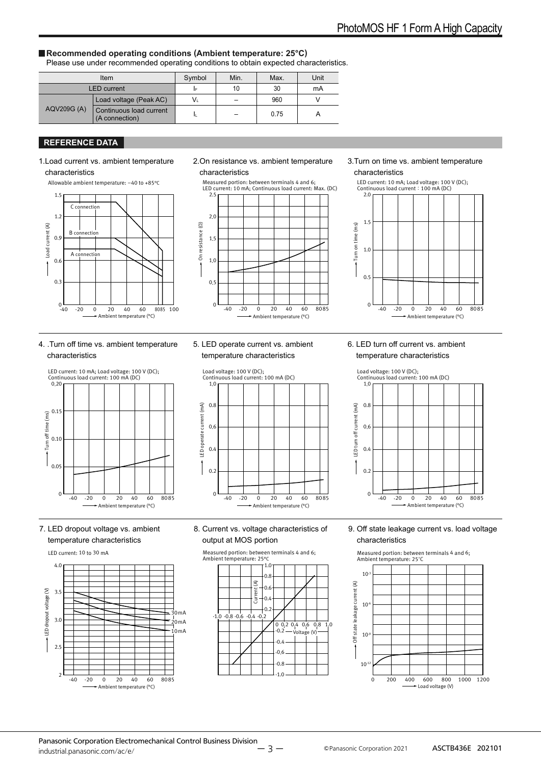#### **Recommended operating conditions (Ambient temperature: 25°C)**

Please use under recommended operating conditions to obtain expected characteristics.

|             | Item                                      | Symbol         | Min. | Max. | Unit |
|-------------|-------------------------------------------|----------------|------|------|------|
|             | LED current                               | IF             | 10   | 30   | mA   |
| AQV209G (A) | Load voltage (Peak AC)                    | V <sub>L</sub> |      | 960  |      |
|             | Continuous load current<br>(A connection) |                |      | 0.75 |      |

#### **REFERENCE DATA**

#### 1.Load current vs. ambient temperature characteristics

Allowable ambient temperature: –40 to +85°C



#### 2.On resistance vs. ambient temperature characteristics



#### 3.Turn on time vs. ambient temperature characteristics



#### 4. .Turn off time vs. ambient temperature characteristics



#### 7. LED dropout voltage vs. ambient temperature characteristics

#### LED current: 10 to 30 mA



#### 5. LED operate current vs. ambient temperature characteristics



## temperature characteristics

6. LED turn off current vs. ambient



#### 8. Current vs. voltage characteristics of output at MOS portion

Measured portion: between terminals 4 and 6; Ambient temperature: 25°C



#### 9. Off state leakage current vs. load voltage characteristics

Measured portion: between terminals 4 and 6; Ambient temperature: 25°C

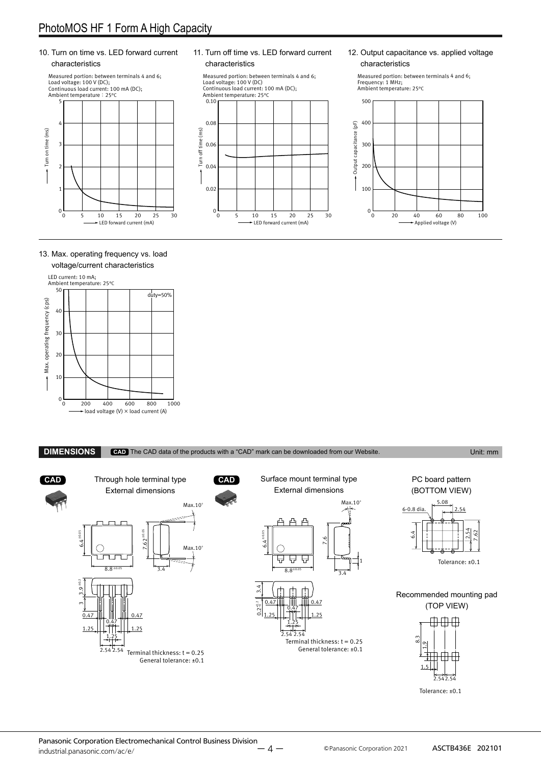### PhotoMOS HF 1 Form A High Capacity

#### 10. Turn on time vs. LED forward current characteristics



#### 11. Turn off time vs. LED forward current characteristics

Measured portion: between terminals 4 and 6;<br>Load voltage: 100 V (DC)<br>Continuous load current: 100 mA (DC);<br>Ambient temperature: 25°C



#### 12. Output capacitance vs. applied voltage characteristics

Measured portion: between terminals 4 and 6; Frequency: 1 MHz; Ambient temperature: 25°C



#### 13. Max. operating frequency vs. load voltage/current characteristics



**CAD** Through hole terminal type **CAD** Surface mount terminal type PC board pattern External dimensions External dimensions (BOTTOM VIEW) Max.10° 5.08 Max.10<sup>c</sup> 6-0.8 dia.  $2.54$ 프 2.54  $7.62 \pm 0.05$  $6.4 \pm 0.05$ 62 64. 6.  $\sim$  $\overline{\phantom{0}}$  4.  $\check{ }$ ⌒ Max.10° 6 $\overline{\phantom{1}}$  $\check{ }$ ┯ 묘 Q ⋤ Tolerance: ±0.1 1  $8.8±0$  $8.8 \pm 0.05$  3.4 3.4 3 4. თ<br>ო Recommended mounting pad ო  $0.47$   $\parallel$   $\parallel$   $\parallel$   $\parallel$   $\parallel$  0.47 (TOP VIEW) ო  $0.2_{-0}^{+0.2}$ 0.47  $1.25$   $||.||.||.||.1.25$  $0.47$   $\parallel$   $\parallel$   $\parallel$   $\parallel$   $\parallel$   $\parallel$  0.47 **000** 0.47 1.25  $1.25$ 1.25  $2.5425$  $\frac{1}{2}$  $\frac{3}{8}$ Terminal thickness:  $t = 0.25$  9. 2.54 2.54 General tolerance: ±0.1 Terminal thickness:  $t = 0.25$  $\overline{ }$ General tolerance: ±0.1 1.5 2.542.54 Tolerance: ±0.1

**DIMENSIONS CAD** The CAD data of the products with a "CAD" mark can be downloaded from our Website. Unit: mm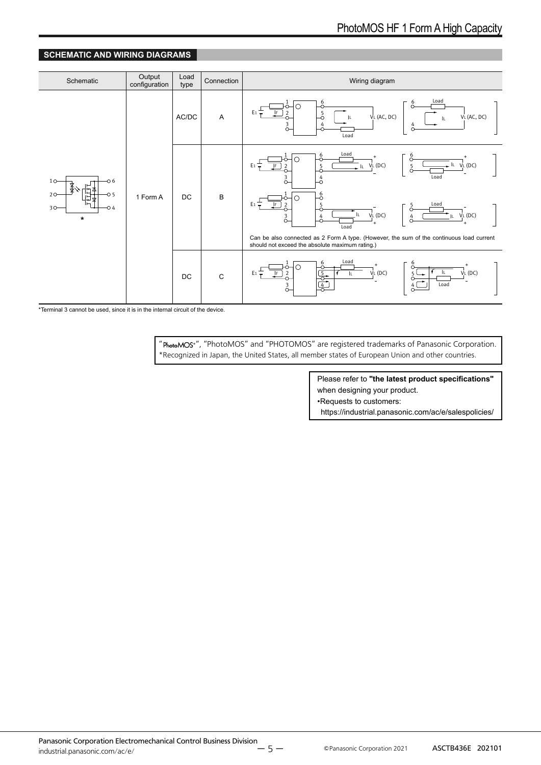#### **SCHEMATIC AND WIRING DIAGRAMS**



\*Terminal 3 cannot be used, since it is in the internal circuit of the device.

" PhotoMOS<sup>®</sup>", "PhotoMOS" and "PHOTOMOS" are registered trademarks of Panasonic Corporation. \*Recognized in Japan, the United States, all member states of European Union and other countries.

> Please refer to **"the latest product specifications"** when designing your product.

•Requests to customers:

https://industrial.panasonic.com/ac/e/salespolicies/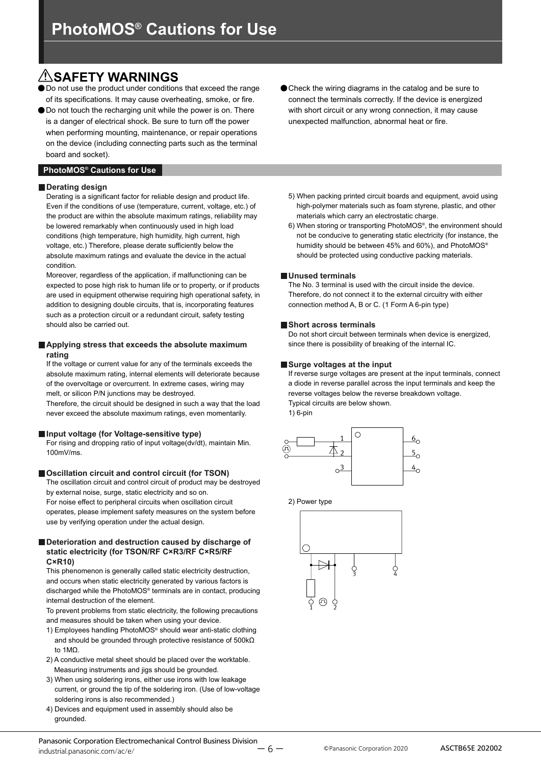## **SAFETY WARNINGS**

Do not use the product under conditions that exceed the range of its specifications. It may cause overheating, smoke, or fire.

● Do not touch the recharging unit while the power is on. There is a danger of electrical shock. Be sure to turn off the power when performing mounting, maintenance, or repair operations on the device (including connecting parts such as the terminal board and socket).

#### **PhotoMOS® Cautions for Use**

#### **Derating design**

Derating is a significant factor for reliable design and product life. Even if the conditions of use (temperature, current, voltage, etc.) of the product are within the absolute maximum ratings, reliability may be lowered remarkably when continuously used in high load conditions (high temperature, high humidity, high current, high voltage, etc.) Therefore, please derate sufficiently below the absolute maximum ratings and evaluate the device in the actual condition.

Moreover, regardless of the application, if malfunctioning can be expected to pose high risk to human life or to property, or if products are used in equipment otherwise requiring high operational safety, in addition to designing double circuits, that is, incorporating features such as a protection circuit or a redundant circuit, safety testing should also be carried out.

#### **Applying stress that exceeds the absolute maximum rating**

If the voltage or current value for any of the terminals exceeds the absolute maximum rating, internal elements will deteriorate because of the overvoltage or overcurrent. In extreme cases, wiring may melt, or silicon P/N junctions may be destroyed.

Therefore, the circuit should be designed in such a way that the load never exceed the absolute maximum ratings, even momentarily.

#### **Input voltage (for Voltage-sensitive type)**

For rising and dropping ratio of input voltage(dv/dt), maintain Min. 100mV/ms.

#### **Oscillation circuit and control circuit (for TSON)**

The oscillation circuit and control circuit of product may be destroyed by external noise, surge, static electricity and so on.

For noise effect to peripheral circuits when oscillation circuit operates, please implement safety measures on the system before use by verifying operation under the actual design.

#### **Deterioration and destruction caused by discharge of static electricity (for TSON/RF C×R3/RF C×R5/RF C×R10)**

This phenomenon is generally called static electricity destruction, and occurs when static electricity generated by various factors is discharged while the PhotoMOS® terminals are in contact, producing internal destruction of the element.

To prevent problems from static electricity, the following precautions and measures should be taken when using your device.

- 1) Employees handling PhotoMOS® should wear anti-static clothing and should be grounded through protective resistance of 500kΩ to 1MΩ.
- 2) A conductive metal sheet should be placed over the worktable. Measuring instruments and jigs should be grounded.
- 3) When using soldering irons, either use irons with low leakage current, or ground the tip of the soldering iron. (Use of low-voltage soldering irons is also recommended.)
- 4) Devices and equipment used in assembly should also be grounded.
- 5) When packing printed circuit boards and equipment, avoid using high-polymer materials such as foam styrene, plastic, and other materials which carry an electrostatic charge.
- 6) When storing or transporting PhotoMOS®, the environment should not be conducive to generating static electricity (for instance, the humidity should be between 45% and 60%), and PhotoMOS® should be protected using conductive packing materials.

#### **Unused terminals**

The No. 3 terminal is used with the circuit inside the device. Therefore, do not connect it to the external circuitry with either connection method A, B or C. (1 Form A 6-pin type)

#### **Short across terminals**

Do not short circuit between terminals when device is energized, since there is possibility of breaking of the internal IC.

#### **Surge voltages at the input**

If reverse surge voltages are present at the input terminals, connect a diode in reverse parallel across the input terminals and keep the reverse voltages below the reverse breakdown voltage. Typical circuits are below shown.

1) 6-pin



2) Power type

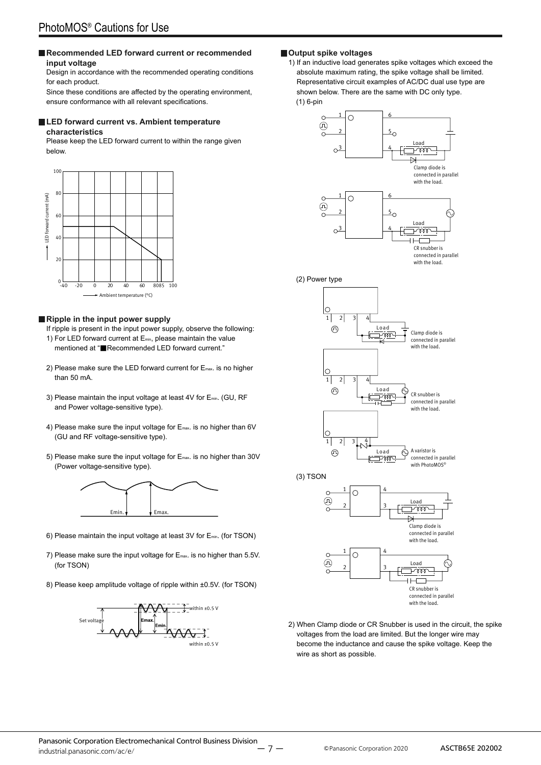#### **Recommended LED forward current or recommended input voltage**

Design in accordance with the recommended operating conditions for each product.

Since these conditions are affected by the operating environment, ensure conformance with all relevant specifications.

#### ■ **LED forward current vs. Ambient temperature characteristics**

Please keep the LED forward current to within the range given below.



#### **Ripple in the input power supply**

- If ripple is present in the input power supply, observe the following: 1) For LED forward current at Emin, please maintain the value mentioned at "■Recommended LED forward current."
- 2) Please make sure the LED forward current for E<sub>max</sub>. is no higher than 50 mA.
- 3) Please maintain the input voltage at least 4V for Emin. (GU, RF and Power voltage-sensitive type).
- 4) Please make sure the input voltage for E<sub>max</sub>. is no higher than 6V (GU and RF voltage-sensitive type).
- 5) Please make sure the input voltage for  $E_{\text{max}}$  is no higher than 30V (Power voltage-sensitive type).



- 6) Please maintain the input voltage at least 3V for Emin. (for TSON)
- 7) Please make sure the input voltage for E<sub>max</sub>. is no higher than 5.5V. (for TSON)
- 8) Please keep amplitude voltage of ripple within ±0.5V. (for TSON)



#### **Output spike voltages**

1) If an inductive load generates spike voltages which exceed the absolute maximum rating, the spike voltage shall be limited. Representative circuit examples of AC/DC dual use type are shown below. There are the same with DC only type. (1) 6-pin







2) When Clamp diode or CR Snubber is used in the circuit, the spike voltages from the load are limited. But the longer wire may become the inductance and cause the spike voltage. Keep the wire as short as possible.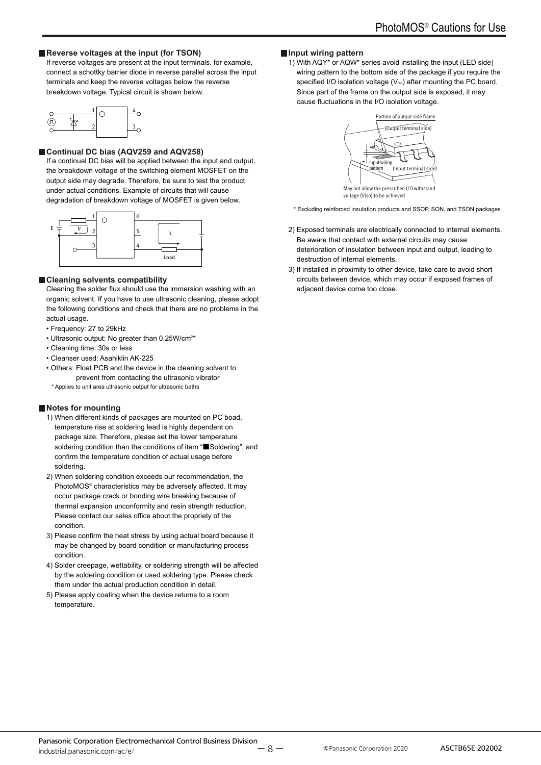#### **Reverse voltages at the input (for TSON)**

If reverse voltages are present at the input terminals, for example, connect a schottky barrier diode in reverse parallel across the input terminals and keep the reverse voltages below the reverse breakdown voltage. Typical circuit is shown below.

| Ч. |  |  |
|----|--|--|
|    |  |  |

#### **Continual DC bias (AQV259 and AQV258)**

If a continual DC bias will be applied between the input and output, the breakdown voltage of the switching element MOSFET on the output side may degrade. Therefore, be sure to test the product under actual conditions. Example of circuits that will cause degradation of breakdown voltage of MOSFET is given below.



#### **Cleaning solvents compatibility**

Cleaning the solder flux should use the immersion washing with an organic solvent. If you have to use ultrasonic cleaning, please adopt the following conditions and check that there are no problems in the actual usage.

- Frequency: 27 to 29kHz
- Ultrasonic output: No greater than 0.25W/cm<sup>2\*</sup>
- Cleaning time: 30s or less
- Cleanser used: Asahiklin AK-225
- Others: Float PCB and the device in the cleaning solvent to prevent from contacting the ultrasonic vibrator
- \* Applies to unit area ultrasonic output for ultrasonic baths

#### **Notes for mounting**

- 1) When different kinds of packages are mounted on PC boad, temperature rise at soldering lead is highly dependent on package size. Therefore, please set the lower temperature soldering condition than the conditions of item "■Soldering", and confirm the temperature condition of actual usage before soldering.
- 2) When soldering condition exceeds our recommendation, the PhotoMOS® characteristics may be adversely affected. It may occur package crack or bonding wire breaking because of thermal expansion unconformity and resin strength reduction. Please contact our sales office about the propriety of the condition.
- 3) Please confirm the heat stress by using actual board because it may be changed by board condition or manufacturing process condition.
- 4) Solder creepage, wettability, or soldering strength will be affected by the soldering condition or used soldering type. Please check them under the actual production condition in detail.
- 5) Please apply coating when the device returns to a room temperature.

#### **Input wiring pattern**

1) With AQY\* or AQW\* series avoid installing the input (LED side) wiring pattern to the bottom side of the package if you require the specified I/O isolation voltage (Viso) after mounting the PC board. Since part of the frame on the output side is exposed, it may cause fluctuations in the I/O isolation voltage.



voltage (Viso) to be achieved

- \* Excluding reinforced insulation products and SSOP, SON, and TSON packages
- 2) Exposed terminals are electrically connected to internal elements. Be aware that contact with external circuits may cause deterioration of insulation between input and output, leading to destruction of internal elements.
- 3) If installed in proximity to other device, take care to avoid short circuits between device, which may occur if exposed frames of adjacent device come too close.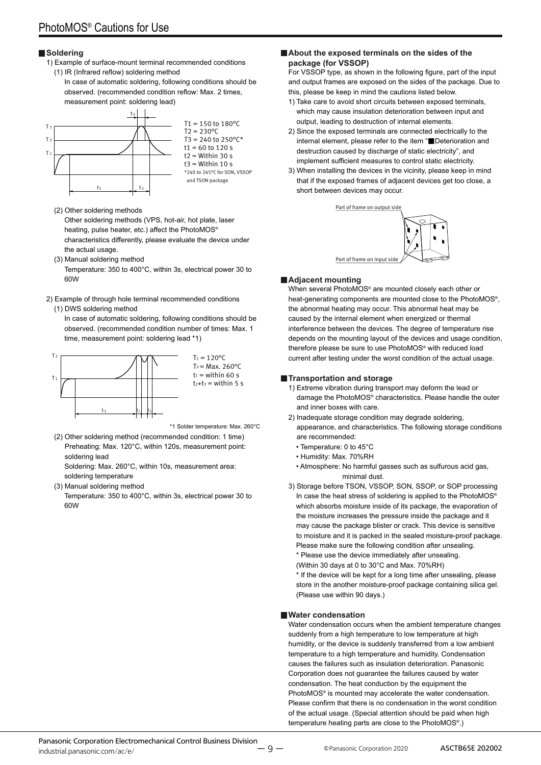#### **Soldering**

- 1) Example of surface-mount terminal recommended conditions (1) IR (Infrared reflow) soldering method
	- In case of automatic soldering, following conditions should be observed. (recommended condition reflow: Max. 2 times, measurement point: soldering lead)



 $T1 = 150$  to  $180^{\circ}$ C  $T2 = 230^{\circ}C$  $T3 = 240$  to  $250^{\circ}$ C\*  $t1 = 60$  to 120 s  $t2 =$  Within 30 s  $t3 =$  Within 10 s \*240 to 245°C for SON, VSSOP and TSON package

- (2) Other soldering methods Other soldering methods (VPS, hot-air, hot plate, laser
	- heating, pulse heater, etc.) affect the PhotoMOS® characteristics differently, please evaluate the device under the actual usage.
- (3) Manual soldering method Temperature: 350 to 400°C, within 3s, electrical power 30 to 60W
- 2) Example of through hole terminal recommended conditions

#### (1) DWS soldering method

In case of automatic soldering, following conditions should be observed. (recommended condition number of times: Max. 1 time, measurement point: soldering lead \*1)



 $T_2$  = Max. 260 $^{\circ}$ C  $t_1$  = within 60 s  $t_2+t_3 =$  within 5 s

\*1 Solder temperature: Max. 260°C

(2) Other soldering method (recommended condition: 1 time) Preheating: Max. 120°C, within 120s, measurement point: soldering lead

Soldering: Max. 260°C, within 10s, measurement area: soldering temperature

(3) Manual soldering method

Temperature: 350 to 400°C, within 3s, electrical power 30 to 60W

#### **About the exposed terminals on the sides of the package (for VSSOP)**

For VSSOP type, as shown in the following figure, part of the input and output frames are exposed on the sides of the package. Due to this, please be keep in mind the cautions listed below.

- 1) Take care to avoid short circuits between exposed terminals, which may cause insulation deterioration between input and output, leading to destruction of internal elements.
- 2) Since the exposed terminals are connected electrically to the internal element, please refer to the item "■Deterioration and destruction caused by discharge of static electricity", and implement sufficient measures to control static electricity.
- 3) When installing the devices in the vicinity, please keep in mind that if the exposed frames of adjacent devices get too close, a short between devices may occur.



#### **Adjacent mounting**

When several PhotoMOS® are mounted closely each other or heat-generating components are mounted close to the PhotoMOS®, the abnormal heating may occur. This abnormal heat may be caused by the internal element when energized or thermal interference between the devices. The degree of temperature rise depends on the mounting layout of the devices and usage condition, therefore please be sure to use PhotoMOS® with reduced load current after testing under the worst condition of the actual usage.

#### **Transportation and storage**

- 1) Extreme vibration during transport may deform the lead or damage the PhotoMOS® characteristics. Please handle the outer and inner boxes with care.
- 2) Inadequate storage condition may degrade soldering, appearance, and characteristics. The following storage conditions are recommended:
	- Temperature: 0 to 45°C
	- Humidity: Max. 70%RH
	- Atmosphere: No harmful gasses such as sulfurous acid gas, minimal dust.
- 3) Storage before TSON, VSSOP, SON, SSOP, or SOP processing In case the heat stress of soldering is applied to the PhotoMOS® which absorbs moisture inside of its package, the evaporation of the moisture increases the pressure inside the package and it may cause the package blister or crack. This device is sensitive to moisture and it is packed in the sealed moisture-proof package. Please make sure the following condition after unsealing.
	- \* Please use the device immediately after unsealing.
	- (Within 30 days at 0 to 30°C and Max. 70%RH)
	- \* If the device will be kept for a long time after unsealing, please store in the another moisture-proof package containing silica gel. (Please use within 90 days.)

#### **Water condensation**

Water condensation occurs when the ambient temperature changes suddenly from a high temperature to low temperature at high humidity, or the device is suddenly transferred from a low ambient temperature to a high temperature and humidity. Condensation causes the failures such as insulation deterioration. Panasonic Corporation does not guarantee the failures caused by water condensation. The heat conduction by the equipment the PhotoMOS® is mounted may accelerate the water condensation. Please confirm that there is no condensation in the worst condition of the actual usage. (Special attention should be paid when high temperature heating parts are close to the PhotoMOS®.)

ー 9 ー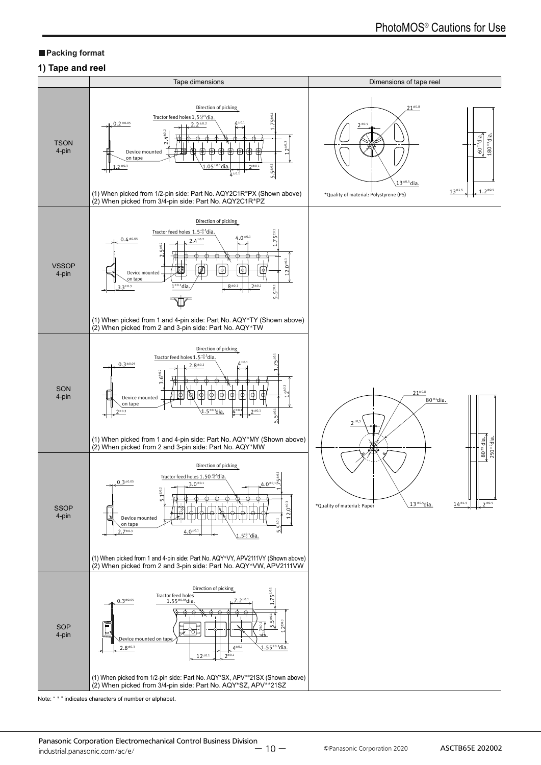#### **Packing format**

#### **1) Tape and reel**



Note: " \* " indicates characters of number or alphabet.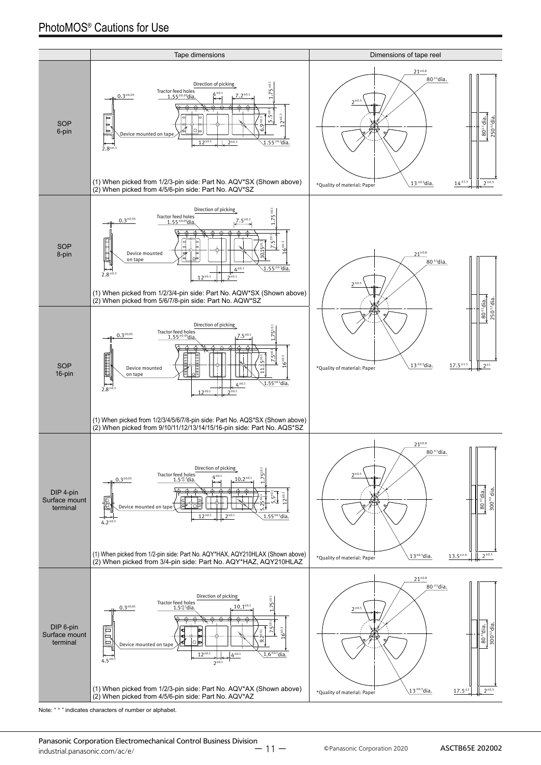

Note: " \* " indicates characters of number or alphabet.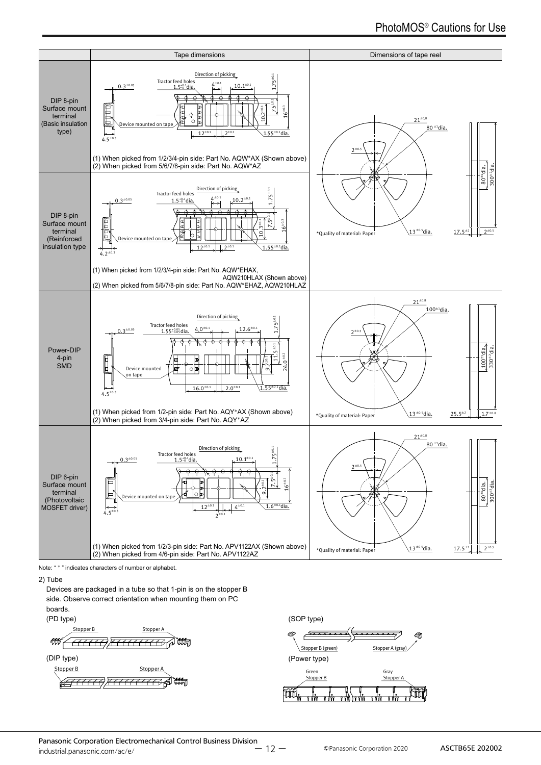

Note: " \* " indicates characters of number or alphabet.

#### 2) Tube

Devices are packaged in a tube so that 1-pin is on the stopper B side. Observe correct orientation when mounting them on PC boards.

#### (PD type)



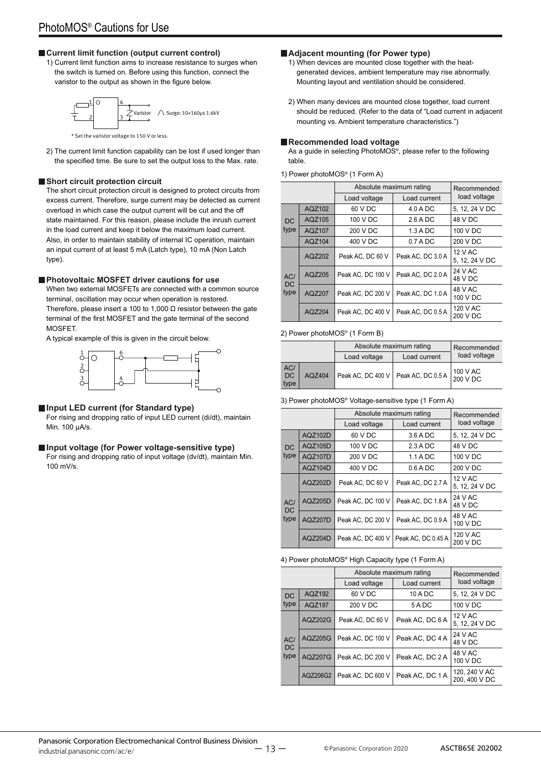#### **Current limit function (output current control)**

1) Current limit function aims to increase resistance to surges when the switch is turned on. Before using this function, connect the varistor to the output as shown in the figure below.



2) The current limit function capability can be lost if used longer than

#### **Short circuit protection circuit**

The short circuit protection circuit is designed to protect circuits from excess current. Therefore, surge current may be detected as current overload in which case the output current will be cut and the off state maintained. For this reason, please include the inrush current in the load current and keep it below the maximum load current. Also, in order to maintain stability of internal IC operation, maintain an input current of at least 5 mA (Latch type), 10 mA (Non Latch type).

the specified time. Be sure to set the output loss to the Max. rate.

#### **Photovoltaic MOSFET driver cautions for use**

When two external MOSEETs are connected with a common source terminal, oscillation may occur when operation is restored. Therefore, please insert a 100 to 1,000  $\Omega$  resistor between the gate terminal of the first MOSFET and the gate terminal of the second MOSFET.

A typical example of this is given in the circuit below.



#### **Input LED current (for Standard type)**

For rising and dropping ratio of input LED current (di/dt), maintain Min. 100 μA/s.

#### **Input voltage (for Power voltage-sensitive type)**

For rising and dropping ratio of input voltage (dv/dt), maintain Min. 100 mV/s.

#### **Adjacent mounting (for Power type)**

- 1) When devices are mounted close together with the heatgenerated devices, ambient temperature may rise abnormally. Mounting layout and ventilation should be considered.
- 2) When many devices are mounted close together, load current should be reduced. (Refer to the data of "Load current in adjacent mounting vs. Ambient temperature characteristics.")

#### **Recommended load voltage**

As a guide in selecting PhotoMOS<sup>®</sup>, please refer to the following table.

| 1) Power photoMOS® (1 Form A) |  |  |
|-------------------------------|--|--|
|-------------------------------|--|--|

|                   |        | Absolute maximum rating      | Recommended<br>load voltage |                                  |
|-------------------|--------|------------------------------|-----------------------------|----------------------------------|
|                   |        | Load current<br>Load voltage |                             |                                  |
|                   | AQZ102 | 60 V DC                      | 4.0 A DC                    | 5, 12, 24 V DC                   |
| <b>DC</b>         | AQZ105 | 100 V DC                     | $2.6$ A DC                  | 48 V DC                          |
| type              | AQZ107 | 200 V DC                     | 1.3 A DC                    | 100 V DC                         |
|                   | AQZ104 | 400 V DC                     | $0.7 A$ DC                  | 200 V DC                         |
| AC/<br>DC<br>type | AQZ202 | Peak AC, DC 60 V             | Peak AC, DC 3.0 A           | <b>12 V AC</b><br>5, 12, 24 V DC |
|                   | AQZ205 | Peak AC, DC 100 V            | Peak AC, DC 2.0 A           | 24 V AC<br>48 V DC               |
|                   | AQZ207 | Peak AC, DC 200 V            | Peak AC, DC 1.0 A           | 48 V AC<br>100 V DC              |
|                   | AQZ204 | Peak AC, DC 400 V            | Peak AC, DC 0.5 A           | 120 V AC<br>200 V DC             |

#### 2) Power photoMOS® (1 Form B)

|                          |        | Absolute maximum rating               | Recommended  |                      |
|--------------------------|--------|---------------------------------------|--------------|----------------------|
|                          |        | Load voltage                          | Load current | load voltage         |
| AC/<br><b>DC</b><br>type | AQZ404 | Peak AC, DC 400 V   Peak AC, DC 0.5 A |              | 100 V AC<br>200 V DC |

#### 3) Power photoMOS® Voltage-sensitive type (1 Form A)

|                   |                | Absolute maximum rating | Recommended        |                           |
|-------------------|----------------|-------------------------|--------------------|---------------------------|
|                   |                | Load voltage            | Load current       |                           |
|                   | AQZ102D        | 60 V DC                 | 3.6 A DC           | 5, 12, 24 V DC            |
| DC                | AQZ105D        | 100 V DC                | 2.3 A D C          | 48 V DC                   |
| type              | AQZ107D        | 200 V DC                | $1.1$ A DC         | 100 V DC                  |
|                   | AQZ104D        | 400 V DC                | $0.6$ A DC         | 200 V DC                  |
| AC/<br>DC<br>type | AQZ202D        | Peak AC, DC 60 V        | Peak AC, DC 2.7 A  | 12 V AC<br>5, 12, 24 V DC |
|                   | AQZ205D        | Peak AC, DC 100 V       | Peak AC, DC 1.8 A  | 24 V AC<br>48 V DC        |
|                   | <b>AQZ207D</b> | Peak AC. DC 200 V       | Peak AC, DC 0.9 A  | 48 V AC<br>100 V DC       |
|                   | AQZ204D        | Peak AC, DC 400 V       | Peak AC, DC 0.45 A | 120 V AC<br>200 V DC      |

#### 4) Power photoMOS® High Capacity type (1 Form A)

|                   |                | Absolute maximum rating | Recommended     |                                |  |  |
|-------------------|----------------|-------------------------|-----------------|--------------------------------|--|--|
|                   |                | Load voltage            | Load current    | load voltage                   |  |  |
| <b>DC</b>         | AQZ192         | 60 V DC                 | 10 A DC         | 5, 12, 24 V DC                 |  |  |
| type              | AQZ197         | 200 V DC                | 5ADC            | 100 V DC                       |  |  |
| AC/<br>DC<br>type | AQZ202G        | Peak AC. DC 60 V        | Peak AC, DC 6 A | 12 V AC<br>5, 12, 24 V DC      |  |  |
|                   | AQZ205G        | Peak AC. DC 100 V       | Peak AC, DC 4 A | 24 V AC<br>48 V DC             |  |  |
|                   | <b>AQZ207G</b> | Peak AC, DC 200 V       | Peak AC, DC 2 A | 48 V AC<br>100 V DC            |  |  |
|                   | AQZ206G2       | Peak AC, DC 600 V       | Peak AC, DC 1A  | 120, 240 V AC<br>200, 400 V DC |  |  |